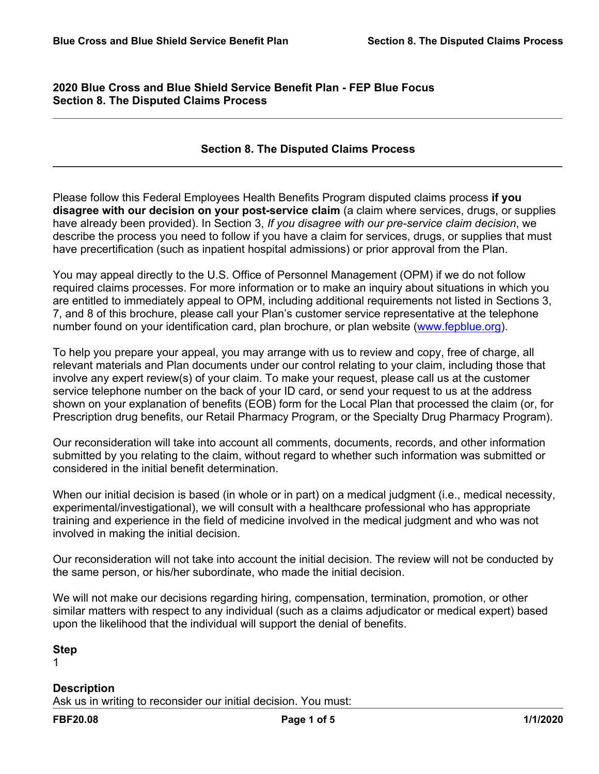## **2020 Blue Cross and Blue Shield Service Benefit Plan - FEP Blue Focus Section 8. The Disputed Claims Process**

### **Section 8. The Disputed Claims Process**

Please follow this Federal Employees Health Benefits Program disputed claims process **if you disagree with our decision on your post-service claim** (a claim where services, drugs, or supplies have already been provided). In Section 3, *If you disagree with our pre-service claim decision*, we describe the process you need to follow if you have a claim for services, drugs, or supplies that must have precertification (such as inpatient hospital admissions) or prior approval from the Plan.

You may appeal directly to the U.S. Office of Personnel Management (OPM) if we do not follow required claims processes. For more information or to make an inquiry about situations in which you are entitled to immediately appeal to OPM, including additional requirements not listed in Sections 3, 7, and 8 of this brochure, please call your Plan's customer service representative at the telephone number found on your identification card, plan brochure, or plan website ([www.fepblue.org](http://www.fepblue.org/)).

To help you prepare your appeal, you may arrange with us to review and copy, free of charge, all relevant materials and Plan documents under our control relating to your claim, including those that involve any expert review(s) of your claim. To make your request, please call us at the customer service telephone number on the back of your ID card, or send your request to us at the address shown on your explanation of benefits (EOB) form for the Local Plan that processed the claim (or, for Prescription drug benefits, our Retail Pharmacy Program, or the Specialty Drug Pharmacy Program).

Our reconsideration will take into account all comments, documents, records, and other information submitted by you relating to the claim, without regard to whether such information was submitted or considered in the initial benefit determination.

When our initial decision is based (in whole or in part) on a medical judgment (i.e., medical necessity, experimental/investigational), we will consult with a healthcare professional who has appropriate training and experience in the field of medicine involved in the medical judgment and who was not involved in making the initial decision.

Our reconsideration will not take into account the initial decision. The review will not be conducted by the same person, or his/her subordinate, who made the initial decision.

We will not make our decisions regarding hiring, compensation, termination, promotion, or other similar matters with respect to any individual (such as a claims adjudicator or medical expert) based upon the likelihood that the individual will support the denial of benefits.

#### **Step**

1

### **Description**

Ask us in writing to reconsider our initial decision. You must: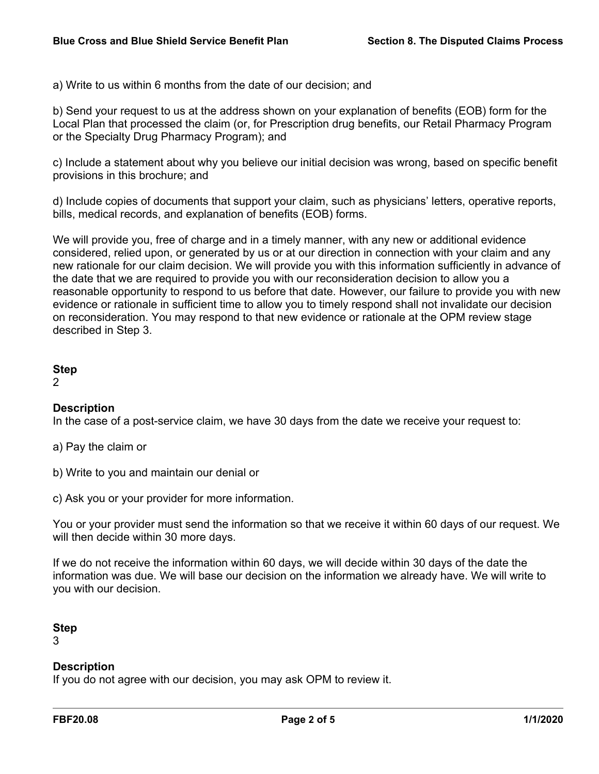a) Write to us within 6 months from the date of our decision; and

b) Send your request to us at the address shown on your explanation of benefits (EOB) form for the Local Plan that processed the claim (or, for Prescription drug benefits, our Retail Pharmacy Program or the Specialty Drug Pharmacy Program); and

c) Include a statement about why you believe our initial decision was wrong, based on specific benefit provisions in this brochure; and

d) Include copies of documents that support your claim, such as physicians' letters, operative reports, bills, medical records, and explanation of benefits (EOB) forms.

We will provide you, free of charge and in a timely manner, with any new or additional evidence considered, relied upon, or generated by us or at our direction in connection with your claim and any new rationale for our claim decision. We will provide you with this information sufficiently in advance of the date that we are required to provide you with our reconsideration decision to allow you a reasonable opportunity to respond to us before that date. However, our failure to provide you with new evidence or rationale in sufficient time to allow you to timely respond shall not invalidate our decision on reconsideration. You may respond to that new evidence or rationale at the OPM review stage described in Step 3.

### **Step**

2

# **Description**

In the case of a post-service claim, we have 30 days from the date we receive your request to:

a) Pay the claim or

- b) Write to you and maintain our denial or
- c) Ask you or your provider for more information.

You or your provider must send the information so that we receive it within 60 days of our request. We will then decide within 30 more days.

If we do not receive the information within 60 days, we will decide within 30 days of the date the information was due. We will base our decision on the information we already have. We will write to you with our decision.

### **Step**

3

# **Description**

If you do not agree with our decision, you may ask OPM to review it.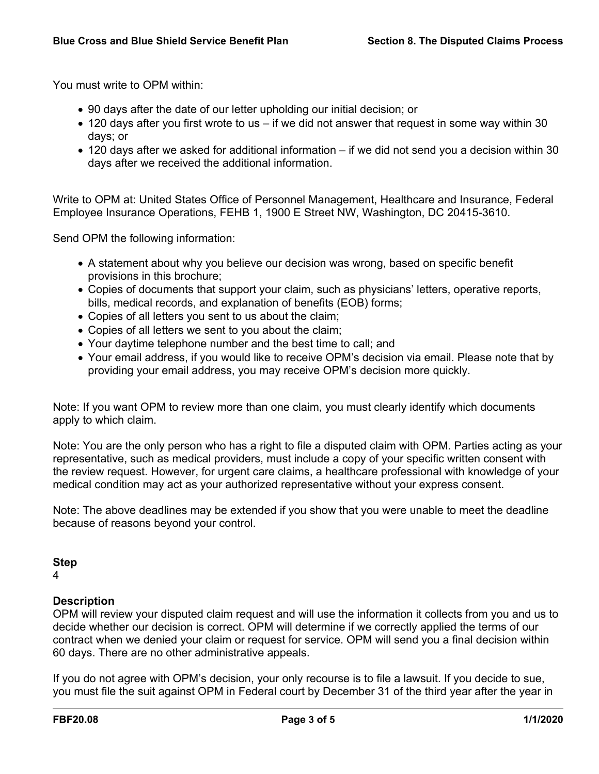You must write to OPM within:

- 90 days after the date of our letter upholding our initial decision; or
- 120 days after you first wrote to us if we did not answer that request in some way within 30 days; or
- 120 days after we asked for additional information if we did not send you a decision within 30 days after we received the additional information.

Write to OPM at: United States Office of Personnel Management, Healthcare and Insurance, Federal Employee Insurance Operations, FEHB 1, 1900 E Street NW, Washington, DC 20415-3610.

Send OPM the following information:

- A statement about why you believe our decision was wrong, based on specific benefit provisions in this brochure;
- Copies of documents that support your claim, such as physicians' letters, operative reports, bills, medical records, and explanation of benefits (EOB) forms;
- Copies of all letters you sent to us about the claim;
- Copies of all letters we sent to you about the claim;
- Your daytime telephone number and the best time to call; and
- Your email address, if you would like to receive OPM's decision via email. Please note that by providing your email address, you may receive OPM's decision more quickly.

Note: If you want OPM to review more than one claim, you must clearly identify which documents apply to which claim.

Note: You are the only person who has a right to file a disputed claim with OPM. Parties acting as your representative, such as medical providers, must include a copy of your specific written consent with the review request. However, for urgent care claims, a healthcare professional with knowledge of your medical condition may act as your authorized representative without your express consent.

Note: The above deadlines may be extended if you show that you were unable to meet the deadline because of reasons beyond your control.

#### **Step**

4

### **Description**

OPM will review your disputed claim request and will use the information it collects from you and us to decide whether our decision is correct. OPM will determine if we correctly applied the terms of our contract when we denied your claim or request for service. OPM will send you a final decision within 60 days. There are no other administrative appeals.

If you do not agree with OPM's decision, your only recourse is to file a lawsuit. If you decide to sue, you must file the suit against OPM in Federal court by December 31 of the third year after the year in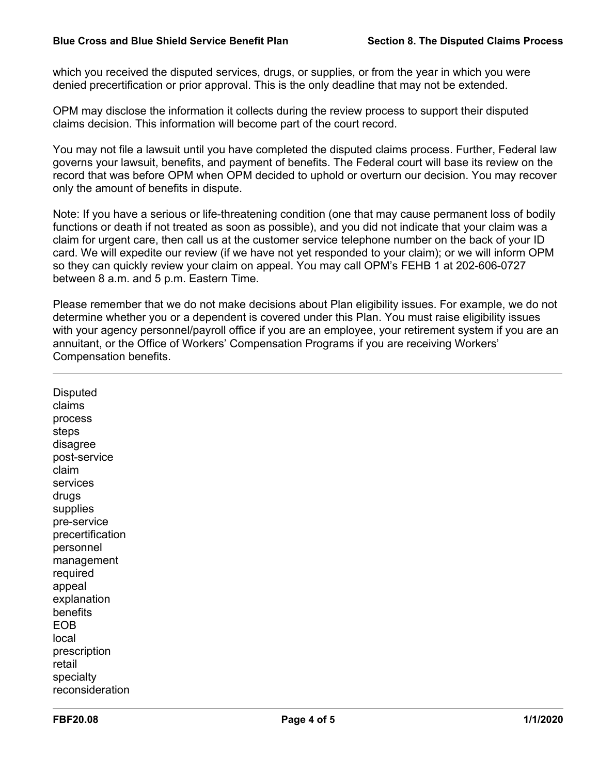which you received the disputed services, drugs, or supplies, or from the year in which you were denied precertification or prior approval. This is the only deadline that may not be extended.

OPM may disclose the information it collects during the review process to support their disputed claims decision. This information will become part of the court record.

You may not file a lawsuit until you have completed the disputed claims process. Further, Federal law governs your lawsuit, benefits, and payment of benefits. The Federal court will base its review on the record that was before OPM when OPM decided to uphold or overturn our decision. You may recover only the amount of benefits in dispute.

Note: If you have a serious or life-threatening condition (one that may cause permanent loss of bodily functions or death if not treated as soon as possible), and you did not indicate that your claim was a claim for urgent care, then call us at the customer service telephone number on the back of your ID card. We will expedite our review (if we have not yet responded to your claim); or we will inform OPM so they can quickly review your claim on appeal. You may call OPM's FEHB 1 at 202-606-0727 between 8 a.m. and 5 p.m. Eastern Time.

Please remember that we do not make decisions about Plan eligibility issues. For example, we do not determine whether you or a dependent is covered under this Plan. You must raise eligibility issues with your agency personnel/payroll office if you are an employee, your retirement system if you are an annuitant, or the Office of Workers' Compensation Programs if you are receiving Workers' Compensation benefits.

**Disputed** claims process steps disagree post-service claim services drugs supplies pre-service precertification personnel management required appeal explanation benefits EOB local prescription retail specialty reconsideration